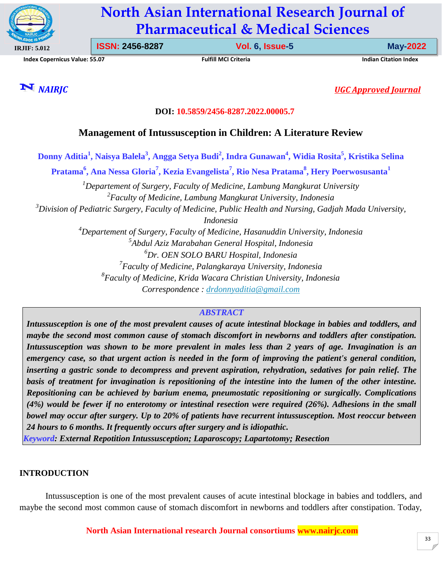

# **North Asian International Research Journal of Pharmaceutical & Medical Sciences**

**ISSN: 2456-8287 Vol. 6, Issue-5 May-2022**

**Index Copernicus Value: 55.07 Fulfill MCI Criteria Indian Citation Index**

*NAIRJC**UGC Approved Journal*

### **DOI: 10.5859/2456-8287.2022.00005.7**

## **Management of Intussusception in Children: A Literature Review**

**Donny Aditia<sup>1</sup> , Naisya Balela<sup>3</sup> , Angga Setya Budi<sup>2</sup> , Indra Gunawan<sup>4</sup> , Widia Rosita<sup>5</sup> , Kristika Selina** 

**Pratama<sup>6</sup> , Ana Nessa Gloria<sup>7</sup> , Kezia Evangelista<sup>7</sup> , Rio Nesa Pratama<sup>8</sup> , Hery Poerwosusanta<sup>1</sup>**

*Departement of Surgery, Faculty of Medicine, Lambung Mangkurat University Faculty of Medicine, Lambung Mangkurat University, Indonesia Division of Pediatric Surgery, Faculty of Medicine, Public Health and Nursing, Gadjah Mada University, Indonesia Departement of Surgery, Faculty of Medicine, Hasanuddin University, Indonesia Abdul Aziz Marabahan General Hospital, Indonesia Dr. OEN SOLO BARU Hospital, Indonesia Faculty of Medicine, Palangkaraya University, Indonesia Faculty of Medicine, Krida Wacara Christian University, Indonesia Correspondence : drdonnyaditia@gmail.com*

## *ABSTRACT*

*Intussusception is one of the most prevalent causes of acute intestinal blockage in babies and toddlers, and maybe the second most common cause of stomach discomfort in newborns and toddlers after constipation. Intussusception was shown to be more prevalent in males less than 2 years of age. Invagination is an emergency case, so that urgent action is needed in the form of improving the patient's general condition, inserting a gastric sonde to decompress and prevent aspiration, rehydration, sedatives for pain relief. The*  basis of treatment for invagination is repositioning of the intestine into the lumen of the other intestine. *Repositioning can be achieved by barium enema, pneumostatic repositioning or surgically. Complications (4%) would be fewer if no enterotomy or intestinal resection were required (26%). Adhesions in the small bowel may occur after surgery. Up to 20% of patients have recurrent intussusception. Most reoccur between 24 hours to 6 months. It frequently occurs after surgery and is idiopathic.*

*Keyword: External Repotition Intussusception; Laparoscopy; Lapartotomy; Resection*

## **INTRODUCTION**

Intussusception is one of the most prevalent causes of acute intestinal blockage in babies and toddlers, and maybe the second most common cause of stomach discomfort in newborns and toddlers after constipation. Today,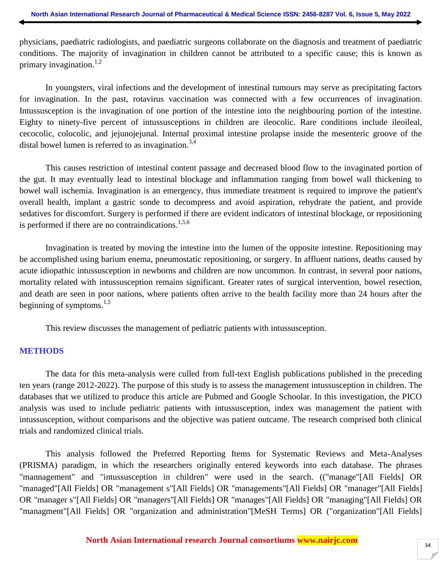physicians, paediatric radiologists, and paediatric surgeons collaborate on the diagnosis and treatment of paediatric conditions. The majority of invagination in children cannot be attributed to a specific cause; this is known as primary invagination.<sup>1,2</sup>

In youngsters, viral infections and the development of intestinal tumours may serve as precipitating factors for invagination. In the past, rotavirus vaccination was connected with a few occurrences of invagination. Intussusception is the invagination of one portion of the intestine into the neighbouring portion of the intestine. Eighty to ninety-five percent of intussusceptions in children are ileocolic. Rare conditions include ileoileal, cecocolic, colocolic, and jejunojejunal. Internal proximal intestine prolapse inside the mesenteric groove of the distal bowel lumen is referred to as invagination.<sup>3,4</sup>

This causes restriction of intestinal content passage and decreased blood flow to the invaginated portion of the gut. It may eventually lead to intestinal blockage and inflammation ranging from bowel wall thickening to bowel wall ischemia. Invagination is an emergency, thus immediate treatment is required to improve the patient's overall health, implant a gastric sonde to decompress and avoid aspiration, rehydrate the patient, and provide sedatives for discomfort. Surgery is performed if there are evident indicators of intestinal blockage, or repositioning is performed if there are no contraindications.<sup>1,5,6</sup>

Invagination is treated by moving the intestine into the lumen of the opposite intestine. Repositioning may be accomplished using barium enema, pneumostatic repositioning, or surgery. In affluent nations, deaths caused by acute idiopathic intussusception in newborns and children are now uncommon. In contrast, in several poor nations, mortality related with intussusception remains significant. Greater rates of surgical intervention, bowel resection, and death are seen in poor nations, where patients often arrive to the health facility more than 24 hours after the beginning of symptoms. $^{1,5}$ 

This review discusses the management of pediatric patients with intussusception.

#### **METHODS**

The data for this meta-analysis were culled from full-text English publications published in the preceding ten years (range 2012-2022). The purpose of this study is to assess the management intussusception in children. The databases that we utilized to produce this article are Pubmed and Google Schoolar. In this investigation, the PICO analysis was used to include pediatric patients with intussusception, index was management the patient with intussusception, without comparisons and the objective was patient outcame. The research comprised both clinical trials and randomized clinical trials.

This analysis followed the Preferred Reporting Items for Systematic Reviews and Meta-Analyses (PRISMA) paradigm, in which the researchers originally entered keywords into each database. The phrases "mannagement" and "intussusception in children" were used in the search. (("manage"[All Fields] OR "managed"[All Fields] OR "management s"[All Fields] OR "managements"[All Fields] OR "manager"[All Fields] OR "manager s"[All Fields] OR "managers"[All Fields] OR "manages"[All Fields] OR "managing"[All Fields] OR "managment"[All Fields] OR "organization and administration"[MeSH Terms] OR ("organization"[All Fields]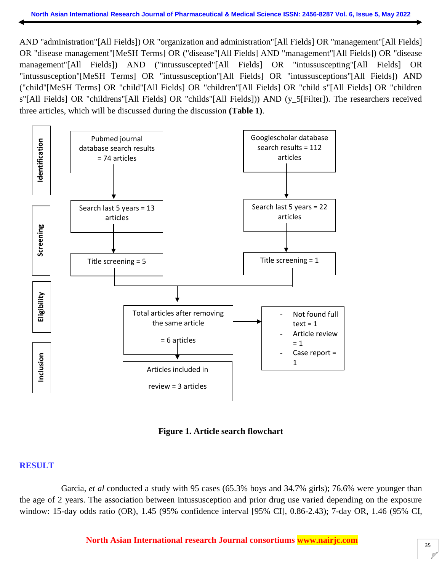AND "administration"[All Fields]) OR "organization and administration"[All Fields] OR "management"[All Fields] OR "disease management"[MeSH Terms] OR ("disease"[All Fields] AND "management"[All Fields]) OR "disease management"[All Fields]) AND ("intussuscepted"[All Fields] OR "intussuscepting"[All Fields] OR "intussusception"[MeSH Terms] OR "intussusception"[All Fields] OR "intussusceptions"[All Fields]) AND ("child"[MeSH Terms] OR "child"[All Fields] OR "children"[All Fields] OR "child s"[All Fields] OR "children s"[All Fields] OR "childrens"[All Fields] OR "childs"[All Fields])) AND (y\_5[Filter]). The researchers received three articles, which will be discussed during the discussion **(Table 1)**.



**Figure 1. Article search flowchart**

#### **RESULT**

Garcia, *et al* conducted a study with 95 cases (65.3% boys and 34.7% girls); 76.6% were younger than the age of 2 years. The association between intussusception and prior drug use varied depending on the exposure window: 15-day odds ratio (OR), 1.45 (95% confidence interval [95% CI], 0.86-2.43); 7-day OR, 1.46 (95% CI,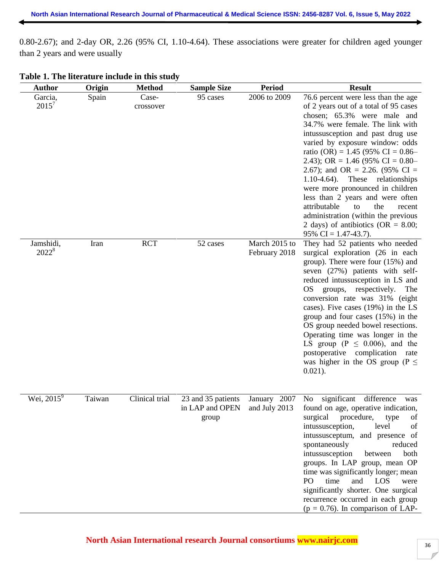0.80-2.67); and 2-day OR, 2.26 (95% CI, 1.10-4.64). These associations were greater for children aged younger than 2 years and were usually

| <b>Author</b>         | Origin | <b>Method</b>      | <b>Sample Size</b>          | <b>Period</b>                  | <b>Result</b>                                                                                                                                                                                                                                                                                                                                                                                                                                                                                                                                                                                                 |
|-----------------------|--------|--------------------|-----------------------------|--------------------------------|---------------------------------------------------------------------------------------------------------------------------------------------------------------------------------------------------------------------------------------------------------------------------------------------------------------------------------------------------------------------------------------------------------------------------------------------------------------------------------------------------------------------------------------------------------------------------------------------------------------|
| Garcia,<br>$2015^7$   | Spain  | Case-<br>crossover | 95 cases                    | 2006 to 2009                   | 76.6 percent were less than the age<br>of 2 years out of a total of 95 cases<br>chosen; 65.3% were male and<br>34.7% were female. The link with<br>intussusception and past drug use<br>varied by exposure window: odds<br>ratio (OR) = 1.45 (95% CI = $0.86-$<br>2.43); OR = 1.46 (95% CI = $0.80-$<br>2.67); and OR = 2.26. (95% CI =<br>These<br>$1.10-4.64$ ).<br>relationships<br>were more pronounced in children<br>less than 2 years and were often<br>attributable<br>the<br>to<br>recent<br>administration (within the previous<br>2 days) of antibiotics (OR = $8.00$ ;<br>95% CI = $1.47-43.7$ ). |
| Jamshidi,<br>$2022^8$ | Iran   | <b>RCT</b>         | 52 cases                    | March 2015 to<br>February 2018 | They had 52 patients who needed<br>surgical exploration (26 in each<br>group). There were four (15%) and<br>seven (27%) patients with self-<br>reduced intussusception in LS and<br>groups,<br>respectively.<br>OS.<br>The<br>conversion rate was 31% (eight<br>cases). Five cases (19%) in the LS<br>group and four cases $(15%)$ in the<br>OS group needed bowel resections.<br>Operating time was longer in the<br>LS group ( $P \leq 0.006$ ), and the<br>postoperative complication<br>rate<br>was higher in the OS group ( $P \leq$<br>$0.021$ ).                                                       |
| Wei, $2015^9$         | Taiwan | Clinical trial     | 23 and 35 patients<br>group | January 2007                   | No<br>significant difference<br>was<br>in LAP and OPEN and July 2013 found on age, operative indication,<br>procedure,<br>of<br>surgical<br>type<br>level<br>intussusception,<br>of<br>and presence of<br>intussusceptum,<br>spontaneously<br>reduced<br>intussusception<br>between<br>both<br>groups. In LAP group, mean OP<br>time was significantly longer; mean<br>time<br>PO<br>and<br>LOS<br>were<br>significantly shorter. One surgical<br>recurrence occurred in each group<br>$(p = 0.76)$ . In comparison of LAP-                                                                                   |

## **Table 1. The literature include in this study**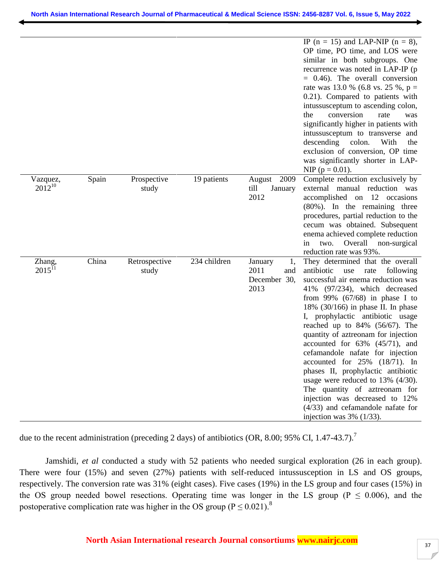|                         |       |                        |              |                                                      | IP ( $n = 15$ ) and LAP-NIP ( $n = 8$ ),<br>OP time, PO time, and LOS were<br>similar in both subgroups. One<br>recurrence was noted in LAP-IP (p<br>$= 0.46$ ). The overall conversion<br>rate was 13.0 % (6.8 vs. 25 %, $p =$<br>0.21). Compared to patients with<br>intussusceptum to ascending colon,<br>conversion<br>the<br>rate<br>was<br>significantly higher in patients with<br>intussusceptum to transverse and<br>descending<br>colon.<br>With<br>the<br>exclusion of conversion, OP time<br>was significantly shorter in LAP-<br>NIP ( $p = 0.01$ ).                                                                                                                  |
|-------------------------|-------|------------------------|--------------|------------------------------------------------------|------------------------------------------------------------------------------------------------------------------------------------------------------------------------------------------------------------------------------------------------------------------------------------------------------------------------------------------------------------------------------------------------------------------------------------------------------------------------------------------------------------------------------------------------------------------------------------------------------------------------------------------------------------------------------------|
| Vazquez,<br>$2012^{10}$ | Spain | Prospective<br>study   | 19 patients  | 2009<br>August<br>till<br>January<br>2012            | Complete reduction exclusively by<br>external manual reduction was<br>accomplished on 12 occasions<br>$(80\%)$ . In the remaining three<br>procedures, partial reduction to the<br>cecum was obtained. Subsequent<br>enema achieved complete reduction<br>Overall<br>two.<br>non-surgical<br>1n<br>reduction rate was 93%.                                                                                                                                                                                                                                                                                                                                                         |
| Zhang,<br>$2015^{11}$   | China | Retrospective<br>study | 234 children | January<br>1,<br>2011<br>and<br>December 30,<br>2013 | They determined that the overall<br>antibiotic<br>following<br>use<br>rate<br>successful air enema reduction was<br>41% (97/234), which decreased<br>from $99\%$ (67/68) in phase I to<br>18% $(30/166)$ in phase II. In phase<br>I, prophylactic antibiotic usage<br>reached up to $84\%$ (56/67). The<br>quantity of aztreonam for injection<br>accounted for $63\%$ $(45/71)$ , and<br>cefamandole nafate for injection<br>accounted for $25\%$ (18/71). In<br>phases II, prophylactic antibiotic<br>usage were reduced to 13% (4/30).<br>The quantity of aztreonam for<br>injection was decreased to 12%<br>$(4/33)$ and cefamandole nafate for<br>injection was $3\%$ (1/33). |

due to the recent administration (preceding 2 days) of antibiotics (OR, 8.00; 95% CI, 1.47-43.7).<sup>7</sup>

Jamshidi, *et al* conducted a study with 52 patients who needed surgical exploration (26 in each group). There were four (15%) and seven (27%) patients with self-reduced intussusception in LS and OS groups, respectively. The conversion rate was 31% (eight cases). Five cases (19%) in the LS group and four cases (15%) in the OS group needed bowel resections. Operating time was longer in the LS group ( $P \le 0.006$ ), and the postoperative complication rate was higher in the OS group ( $P \le 0.021$ ).<sup>8</sup>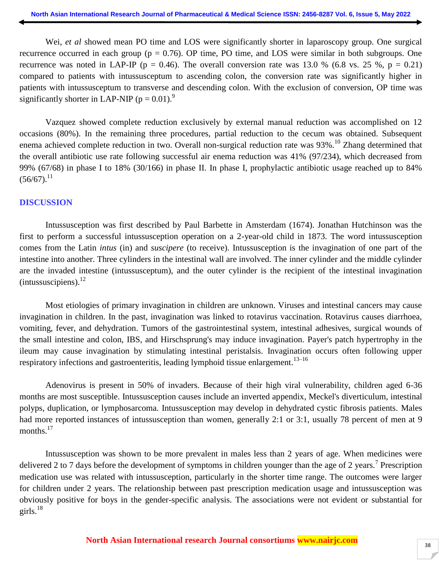Wei, *et al* showed mean PO time and LOS were significantly shorter in laparoscopy group. One surgical recurrence occurred in each group ( $p = 0.76$ ). OP time, PO time, and LOS were similar in both subgroups. One recurrence was noted in LAP-IP ( $p = 0.46$ ). The overall conversion rate was 13.0 % (6.8 vs. 25 %,  $p = 0.21$ ) compared to patients with intussusceptum to ascending colon, the conversion rate was significantly higher in patients with intussusceptum to transverse and descending colon. With the exclusion of conversion, OP time was significantly shorter in LAP-NIP ( $p = 0.01$ ).<sup>9</sup>

Vazquez showed complete reduction exclusively by external manual reduction was accomplished on 12 occasions (80%). In the remaining three procedures, partial reduction to the cecum was obtained. Subsequent enema achieved complete reduction in two. Overall non-surgical reduction rate was 93%.<sup>10</sup> Zhang determined that the overall antibiotic use rate following successful air enema reduction was 41% (97/234), which decreased from 99% (67/68) in phase I to 18% (30/166) in phase II. In phase I, prophylactic antibiotic usage reached up to 84%  $(56/67).$ <sup>11</sup>

#### **DISCUSSION**

Intussusception was first described by Paul Barbette in Amsterdam (1674). Jonathan Hutchinson was the first to perform a successful intussusception operation on a 2-year-old child in 1873. The word intussusception comes from the Latin *intus* (in) and *suscipere* (to receive). Intussusception is the invagination of one part of the intestine into another. Three cylinders in the intestinal wall are involved. The inner cylinder and the middle cylinder are the invaded intestine (intussusceptum), and the outer cylinder is the recipient of the intestinal invagination  $(intussuscipiens).<sup>12</sup>$ 

Most etiologies of primary invagination in children are unknown. Viruses and intestinal cancers may cause invagination in children. In the past, invagination was linked to rotavirus vaccination. Rotavirus causes diarrhoea, vomiting, fever, and dehydration. Tumors of the gastrointestinal system, intestinal adhesives, surgical wounds of the small intestine and colon, IBS, and Hirschsprung's may induce invagination. Payer's patch hypertrophy in the ileum may cause invagination by stimulating intestinal peristalsis. Invagination occurs often following upper respiratory infections and gastroenteritis, leading lymphoid tissue enlargement.<sup>13-16</sup>

Adenovirus is present in 50% of invaders. Because of their high viral vulnerability, children aged 6-36 months are most susceptible. Intussusception causes include an inverted appendix, Meckel's diverticulum, intestinal polyps, duplication, or lymphosarcoma. Intussusception may develop in dehydrated cystic fibrosis patients. Males had more reported instances of intussusception than women, generally 2:1 or 3:1, usually 78 percent of men at 9 months.<sup>17</sup>

Intussusception was shown to be more prevalent in males less than 2 years of age. When medicines were delivered 2 to 7 days before the development of symptoms in children younger than the age of 2 years.<sup>7</sup> Prescription medication use was related with intussusception, particularly in the shorter time range. The outcomes were larger for children under 2 years. The relationship between past prescription medication usage and intussusception was obviously positive for boys in the gender-specific analysis. The associations were not evident or substantial for girls. $^{18}$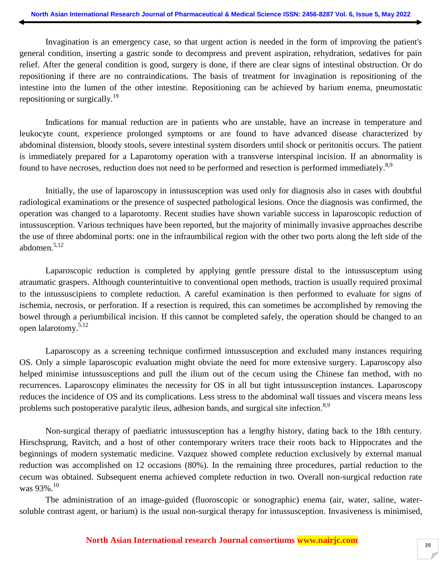Invagination is an emergency case, so that urgent action is needed in the form of improving the patient's general condition, inserting a gastric sonde to decompress and prevent aspiration, rehydration, sedatives for pain relief. After the general condition is good, surgery is done, if there are clear signs of intestinal obstruction. Or do repositioning if there are no contraindications. The basis of treatment for invagination is repositioning of the intestine into the lumen of the other intestine. Repositioning can be achieved by barium enema, pneumostatic repositioning or surgically.<sup>19</sup>

Indications for manual reduction are in patients who are unstable, have an increase in temperature and leukocyte count, experience prolonged symptoms or are found to have advanced disease characterized by abdominal distension, bloody stools, severe intestinal system disorders until shock or peritonitis occurs. The patient is immediately prepared for a Laparotomy operation with a transverse interspinal incision. If an abnormality is found to have necroses, reduction does not need to be performed and resection is performed immediately.<sup>8,9</sup>

Initially, the use of laparoscopy in intussusception was used only for diagnosis also in cases with doubtful radiological examinations or the presence of suspected pathological lesions. Once the diagnosis was confirmed, the operation was changed to a laparotomy. Recent studies have shown variable success in laparoscopic reduction of intussusception. Various techniques have been reported, but the majority of minimally invasive approaches describe the use of three abdominal ports: one in the infraumbilical region with the other two ports along the left side of the abdomen.5,12

Laparoscopic reduction is completed by applying gentle pressure distal to the intussusceptum using atraumatic graspers. Although counterintuitive to conventional open methods, traction is usually required proximal to the intussuscipiens to complete reduction. A careful examination is then performed to evaluate for signs of ischemia, necrosis, or perforation. If a resection is required, this can sometimes be accomplished by removing the bowel through a periumbilical incision. If this cannot be completed safely, the operation should be changed to an open lalarotomy.5,12

Laparoscopy as a screening technique confirmed intussusception and excluded many instances requiring OS. Only a simple laparoscopic evaluation might obviate the need for more extensive surgery. Laparoscopy also helped minimise intussusceptions and pull the ilium out of the cecum using the Chinese fan method, with no recurrences. Laparoscopy eliminates the necessity for OS in all but tight intussusception instances. Laparoscopy reduces the incidence of OS and its complications. Less stress to the abdominal wall tissues and viscera means less problems such postoperative paralytic ileus, adhesion bands, and surgical site infection.<sup>8,9</sup>

Non-surgical therapy of paediatric intussusception has a lengthy history, dating back to the 18th century. Hirschsprung, Ravitch, and a host of other contemporary writers trace their roots back to Hippocrates and the beginnings of modern systematic medicine. Vazquez showed complete reduction exclusively by external manual reduction was accomplished on 12 occasions (80%). In the remaining three procedures, partial reduction to the cecum was obtained. Subsequent enema achieved complete reduction in two. Overall non-surgical reduction rate was 93%.<sup>10</sup>

The administration of an image-guided (fluoroscopic or sonographic) enema (air, water, saline, watersoluble contrast agent, or barium) is the usual non-surgical therapy for intussusception. Invasiveness is minimised,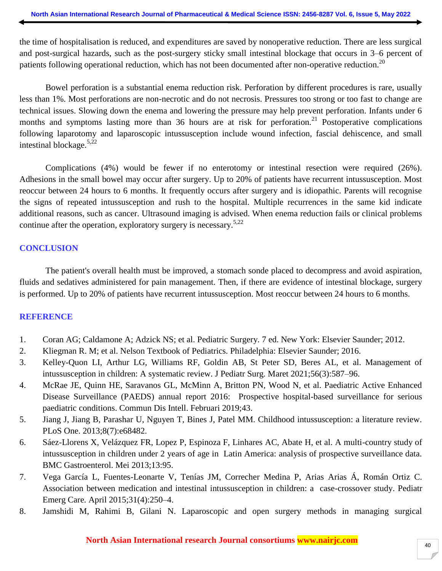the time of hospitalisation is reduced, and expenditures are saved by nonoperative reduction. There are less surgical and post-surgical hazards, such as the post-surgery sticky small intestinal blockage that occurs in 3–6 percent of patients following operational reduction, which has not been documented after non-operative reduction.<sup>20</sup>

Bowel perforation is a substantial enema reduction risk. Perforation by different procedures is rare, usually less than 1%. Most perforations are non-necrotic and do not necrosis. Pressures too strong or too fast to change are technical issues. Slowing down the enema and lowering the pressure may help prevent perforation. Infants under 6 months and symptoms lasting more than 36 hours are at risk for perforation.<sup>21</sup> Postoperative complications following laparotomy and laparoscopic intussusception include wound infection, fascial dehiscence, and small intestinal blockage. $5,22$ 

Complications (4%) would be fewer if no enterotomy or intestinal resection were required (26%). Adhesions in the small bowel may occur after surgery. Up to 20% of patients have recurrent intussusception. Most reoccur between 24 hours to 6 months. It frequently occurs after surgery and is idiopathic. Parents will recognise the signs of repeated intussusception and rush to the hospital. Multiple recurrences in the same kid indicate additional reasons, such as cancer. Ultrasound imaging is advised. When enema reduction fails or clinical problems continue after the operation, exploratory surgery is necessary.<sup>5,22</sup>

## **CONCLUSION**

The patient's overall health must be improved, a stomach sonde placed to decompress and avoid aspiration, fluids and sedatives administered for pain management. Then, if there are evidence of intestinal blockage, surgery is performed. Up to 20% of patients have recurrent intussusception. Most reoccur between 24 hours to 6 months.

## **REFERENCE**

- 1. Coran AG; Caldamone A; Adzick NS; et al. Pediatric Surgery. 7 ed. New York: Elsevier Saunder; 2012.
- 2. Kliegman R. M; et al. Nelson Textbook of Pediatrics. Philadelphia: Elsevier Saunder; 2016.
- 3. Kelley-Quon LI, Arthur LG, Williams RF, Goldin AB, St Peter SD, Beres AL, et al. Management of intussusception in children: A systematic review. J Pediatr Surg. Maret 2021;56(3):587–96.
- 4. McRae JE, Quinn HE, Saravanos GL, McMinn A, Britton PN, Wood N, et al. Paediatric Active Enhanced Disease Surveillance (PAEDS) annual report 2016: Prospective hospital-based surveillance for serious paediatric conditions. Commun Dis Intell. Februari 2019;43.
- 5. Jiang J, Jiang B, Parashar U, Nguyen T, Bines J, Patel MM. Childhood intussusception: a literature review. PLoS One. 2013;8(7):e68482.
- 6. Sáez-Llorens X, Velázquez FR, Lopez P, Espinoza F, Linhares AC, Abate H, et al. A multi-country study of intussusception in children under 2 years of age in Latin America: analysis of prospective surveillance data. BMC Gastroenterol. Mei 2013;13:95.
- 7. Vega García L, Fuentes-Leonarte V, Tenías JM, Correcher Medina P, Arias Arias Á, Román Ortiz C. Association between medication and intestinal intussusception in children: a case-crossover study. Pediatr Emerg Care. April 2015;31(4):250–4.
- 8. Jamshidi M, Rahimi B, Gilani N. Laparoscopic and open surgery methods in managing surgical